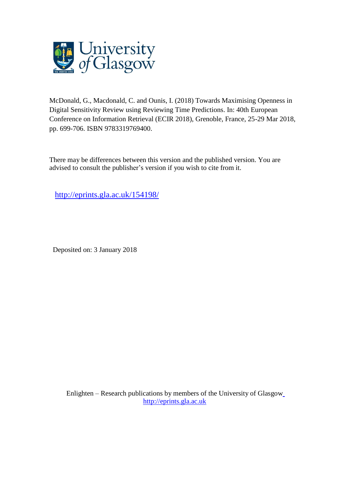

McDonald, G., Macdonald, C. and Ounis, I. (2018) Towards Maximising Openness in Digital Sensitivity Review using Reviewing Time Predictions. In: 40th European Conference on Information Retrieval (ECIR 2018), Grenoble, France, 25-29 Mar 2018, pp. 699-706. ISBN 9783319769400.

There may be differences between this version and the published version. You are advised to consult the publisher's version if you wish to cite from it.

<http://eprints.gla.ac.uk/154198/>

Deposited on: 3 January 2018

Enlighten – Research publications by members of the University of Glasgo[w](http://eprints.gla.ac.uk/) [http://eprints.gla.ac.uk](http://eprints.gla.ac.uk/)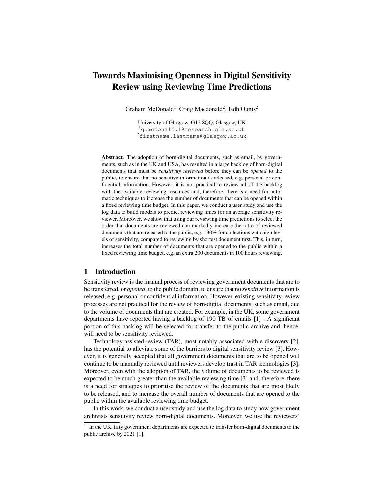# Towards Maximising Openness in Digital Sensitivity Review using Reviewing Time Predictions

Graham McDonald<sup>1</sup>, Craig Macdonald<sup>2</sup>, Iadh Ounis<sup>2</sup>

University of Glasgow, G12 8QQ, Glasgow, UK <sup>1</sup>g.mcdonald.1@research.gla.ac.uk <sup>2</sup>firstname.lastname@glasgow.ac.uk

Abstract. The adoption of born-digital documents, such as email, by governments, such as in the UK and USA, has resulted in a large backlog of born-digital documents that must be *sensitivity reviewed* before they can be *opened* to the public, to ensure that no sensitive information is released, e.g. personal or confidential information. However, it is not practical to review all of the backlog with the available reviewing resources and, therefore, there is a need for automatic techniques to increase the number of documents that can be opened within a fixed reviewing time budget. In this paper, we conduct a user study and use the log data to build models to predict reviewing times for an average sensitivity reviewer. Moreover, we show that using our reviewing time predictions to select the order that documents are reviewed can markedly increase the ratio of reviewed documents that are released to the public, e.g. +30% for collections with high levels of sensitivity, compared to reviewing by shortest document first. This, in turn, increases the total number of documents that are opened to the public within a fixed reviewing time budget, e.g. an extra 200 documents in 100 hours reviewing.

## 1 Introduction

Sensitivity review is the manual process of reviewing government documents that are to be transferred, or *opened*, to the public domain, to ensure that no *sensitive* information is released, e.g. personal or confidential information. However, existing sensitivity review processes are not practical for the review of born-digital documents, such as email, due to the volume of documents that are created. For example, in the UK, some government departments have reported having a backlog of 190 TB of emails  $[1]$ <sup>1</sup>. A significant portion of this backlog will be selected for transfer to the public archive and, hence, will need to be sensitivity reviewed.

Technology assisted review (TAR), most notably associated with e-discovery [2], has the potential to alleviate some of the barriers to digital sensitivity review [3]. However, it is generally accepted that all government documents that are to be opened will continue to be manually reviewed until reviewers develop trust in TAR technologies [3]. Moreover, even with the adoption of TAR, the volume of documents to be reviewed is expected to be much greater than the available reviewing time [3] and, therefore, there is a need for strategies to prioritise the review of the documents that are most likely to be released, and to increase the overall number of documents that are opened to the public within the available reviewing time budget.

In this work, we conduct a user study and use the log data to study how government archivists sensitivity review born-digital documents. Moreover, we use the reviewers'

<sup>&</sup>lt;sup>1</sup> In the UK, fifty government departments are expected to transfer born-digital documents to the public archive by 2021 [1].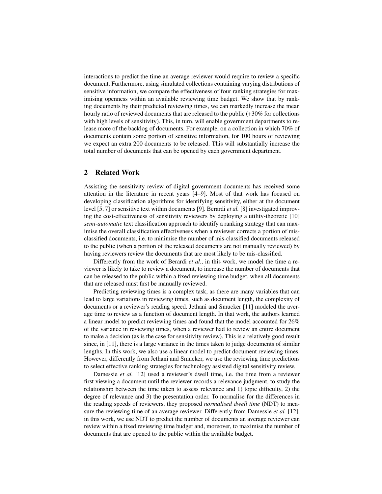interactions to predict the time an average reviewer would require to review a specific document. Furthermore, using simulated collections containing varying distributions of sensitive information, we compare the effectiveness of four ranking strategies for maximising openness within an available reviewing time budget. We show that by ranking documents by their predicted reviewing times, we can markedly increase the mean hourly ratio of reviewed documents that are released to the public (+30% for collections with high levels of sensitivity). This, in turn, will enable government departments to release more of the backlog of documents. For example, on a collection in which 70% of documents contain some portion of sensitive information, for 100 hours of reviewing we expect an extra 200 documents to be released. This will substantially increase the total number of documents that can be opened by each government department.

## 2 Related Work

Assisting the sensitivity review of digital government documents has received some attention in the literature in recent years [4–9]. Most of that work has focused on developing classification algorithms for identifying sensitivity, either at the document level [5, 7] or sensitive text within documents [9]. Berardi *et al.* [8] investigated improving the cost-effectiveness of sensitivity reviewers by deploying a utility-theoretic [10] *semi-automatic* text classification approach to identify a ranking strategy that can maximise the overall classification effectiveness when a reviewer corrects a portion of misclassified documents, i.e. to minimise the number of mis-classified documents released to the public (when a portion of the released documents are not manually reviewed) by having reviewers review the documents that are most likely to be mis-classified.

Differently from the work of Berardi *et al.*, in this work, we model the time a reviewer is likely to take to review a document, to increase the number of documents that can be released to the public within a fixed reviewing time budget, when all documents that are released must first be manually reviewed.

Predicting reviewing times is a complex task, as there are many variables that can lead to large variations in reviewing times, such as document length, the complexity of documents or a reviewer's reading speed. Jethani and Smucker [11] modeled the average time to review as a function of document length. In that work, the authors learned a linear model to predict reviewing times and found that the model accounted for 26% of the variance in reviewing times, when a reviewer had to review an entire document to make a decision (as is the case for sensitivity review). This is a relatively good result since, in [11], there is a large variance in the times taken to judge documents of similar lengths. In this work, we also use a linear model to predict document reviewing times. However, differently from Jethani and Smucker, we use the reviewing time predictions to select effective ranking strategies for technology assisted digital sensitivity review.

Damessie *et al.* [12] used a reviewer's dwell time, i.e. the time from a reviewer first viewing a document until the reviewer records a relevance judgment, to study the relationship between the time taken to assess relevance and 1) topic difficulty, 2) the degree of relevance and 3) the presentation order. To normalise for the differences in the reading speeds of reviewers, they proposed *normalised dwell time* (NDT) to measure the reviewing time of an average reviewer. Differently from Damessie *et al.* [12], in this work, we use NDT to predict the number of documents an average reviewer can review within a fixed reviewing time budget and, moreover, to maximise the number of documents that are opened to the public within the available budget.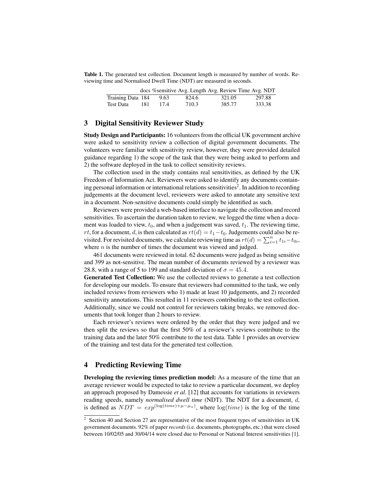Table 1. The generated test collection. Document length is measured by number of words. Reviewing time and Normalised Dwell Time (NDT) are measured in seconds.

|                   |      |      |       |        | docs % sensitive Avg. Length Avg. Review Time Avg. NDT |
|-------------------|------|------|-------|--------|--------------------------------------------------------|
| Training Data 184 |      | 9.63 | 824.6 | 321.05 | 297.88                                                 |
| Test Data         | 181. | 174  | 710.3 | 385.77 | 333.38                                                 |

## 3 Digital Sensitivity Reviewer Study

Study Design and Participants: 16 volunteers from the official UK government archive were asked to sensitivity review a collection of digital government documents. The volunteers were familiar with sensitivity review, however, they were provided detailed guidance regarding 1) the scope of the task that they were being asked to perform and 2) the software deployed in the task to collect sensitivity reviews.

The collection used in the study contains real sensitivities, as defined by the UK Freedom of Information Act. Reviewers were asked to identify any documents containing personal information or international relations sensitivities<sup>2</sup>. In addition to recording judgements at the document level, reviewers were asked to annotate any sensitive text in a document. Non-sensitive documents could simply be identified as such.

Reviewers were provided a web-based interface to navigate the collection and record sensitivities. To ascertain the duration taken to review, we logged the time when a document was loaded to view,  $t_0$ , and when a judgement was saved,  $t_1$ . The reviewing time, rt, for a document, d, is then calculated as  $rt(d) = t_1 - t_0$ . Judgements could also be revisited. For revisited documents, we calculate reviewing time as  $rt(d) = \sum_{i=1}^{n} t_{1i} - t_{0i}$ , where  $n$  is the number of times the document was viewed and judged.

461 documents were reviewed in total. 62 documents were judged as being sensitive and 399 as not-sensitive. The mean number of documents reviewed by a reviewer was 28.8, with a range of 5 to 199 and standard deviation of  $\sigma = 45.4$ .

Generated Test Collection: We use the collected reviews to generate a test collection for developing our models. To ensure that reviewers had committed to the task, we only included reviews from reviewers who 1) made at least 10 judgements, and 2) recorded sensitivity annotations. This resulted in 11 reviewers contributing to the test collection. Additionally, since we could not control for reviewers taking breaks, we removed documents that took longer than 2 hours to review.

Each reviewer's reviews were ordered by the order that they were judged and we then split the reviews so that the first 50% of a reviewer's reviews contribute to the training data and the later 50% contribute to the test data. Table 1 provides an overview of the training and test data for the generated test collection.

# 4 Predicting Reviewing Time

Developing the reviewing times prediction model: As a measure of the time that an average reviewer would be expected to take to review a particular document, we deploy an approach proposed by Damessie *et al.* [12] that accounts for variations in reviewers reading speeds, namely *normalised dwell time* (NDT). The NDT for a document, d, is defined as  $NDT = exp^{(\log(ime) + \mu - \mu_{\alpha})}$ , where  $\log(ime)$  is the log of the time

 $2^2$  Section 40 and Section 27 are representative of the most frequent types of sensitivities in UK government documents. 92% of paper*records*(i.e. documents, photographs, etc.) that were closed between 10/02/05 and 30/04/14 were closed due to Personal or National Interest sensitivities [1].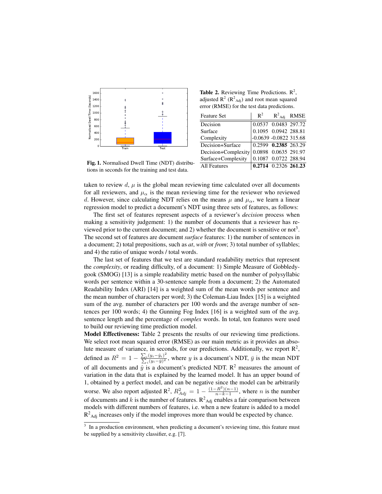

Table 2. Reviewing Time Predictions.  $\mathbb{R}^2$ , adjusted  $R^2$  ( $R^2$ <sub>Adj</sub>) and root mean squared error (RMSE) for the test data predictions.

| <b>Feature Set</b>  | $\mathbf{R}^2$            |                                                                                       | $R^2$ <sub>Adj</sub> RMSE |
|---------------------|---------------------------|---------------------------------------------------------------------------------------|---------------------------|
| Decision            |                           |                                                                                       |                           |
| Surface             |                           | $\begin{array}{ccc} 0.0537 & 0.0483 & 297.72 \\ 0.1095 & 0.0942 & 288.81 \end{array}$ |                           |
| Complexity          | $-0.0639 - 0.0822$ 315.68 |                                                                                       |                           |
| Decision+Surface    |                           | $\overline{0.2599}$ 0.2385 263.29                                                     |                           |
| Decision+Complexity |                           | 0.0898 0.0635 291.97                                                                  |                           |
| Surface+Complexity  |                           | 0.1087 0.0722 288.94                                                                  |                           |
| <b>All Features</b> |                           | 0.2714 0.2326 261.23                                                                  |                           |

Fig. 1. Normalised Dwell Time (NDT) distributions in seconds for the training and test data.

taken to review  $d, \mu$  is the global mean reviewing time calculated over all documents for all reviewers, and  $\mu_{\alpha}$  is the mean reviewing time for the reviewer who reviewed d. However, since calculating NDT relies on the means  $\mu$  and  $\mu_{\alpha}$ , we learn a linear regression model to predict a document's NDT using three sets of features, as follows:

The first set of features represent aspects of a reviewer's *decision* process when making a sensitivity judgement: 1) the number of documents that a reviewer has reviewed prior to the current document; and 2) whether the document is sensitive or not<sup>3</sup>. The second set of features are document *surface* features: 1) the number of sentences in a document; 2) total prepositions, such as *at*, *with* or *from*; 3) total number of syllables; and 4) the ratio of unique words / total words.

The last set of features that we test are standard readability metrics that represent the *complexity*, or reading difficulty, of a document: 1) Simple Measure of Gobbledygook (SMOG) [13] is a simple readability metric based on the number of polysyllabic words per sentence within a 30-sentence sample from a document; 2) the Automated Readability Index (ARI) [14] is a weighted sum of the mean words per sentence and the mean number of characters per word; 3) the Coleman-Liau Index [15] is a weighted sum of the avg. number of characters per 100 words and the average number of sentences per 100 words; 4) the Gunning Fog Index [16] is a weighted sum of the avg. sentence length and the percentage of *complex* words. In total, ten features were used to build our reviewing time prediction model.

Model Effectiveness: Table 2 presents the results of our reviewing time predictions. We select root mean squared error (RMSE) as our main metric as it provides an absolute measure of variance, in seconds, for our predictions. Additionally, we report  $\mathbb{R}^2$ , defined as  $R^2 = 1 - \frac{\sum_i (y_i - \hat{y}_i)^2}{\sum_i (y_i - \bar{y}_i)^2}$  $\frac{\sum_i (y_i - y_i)}{\sum_i (y_i - \bar{y})^2}$ , where y is a document's NDT,  $\bar{y}$  is the mean NDT of all documents and  $\hat{y}$  is a document's predicted NDT.  $\mathbb{R}^2$  measures the amount of variation in the data that is explained by the learned model. It has an upper bound of 1, obtained by a perfect model, and can be negative since the model can be arbitrarily worse. We also report adjusted R<sup>2</sup>,  $R_{Adj}^2 = 1 - \frac{(1 - R^2)(n-1)}{n-k-1}$  $\frac{n-k-1}{n-k-1}$ , where *n* is the number of documents and k is the number of features.  $R^2$ <sub>Adj</sub> enables a fair comparison between models with different numbers of features, i.e. when a new feature is added to a model  $R^2$ <sub>Adj</sub> increases only if the model improves more than would be expected by chance.

 $3\,$  In a production environment, when predicting a document's reviewing time, this feature must be supplied by a sensitivity classifier, e.g. [7].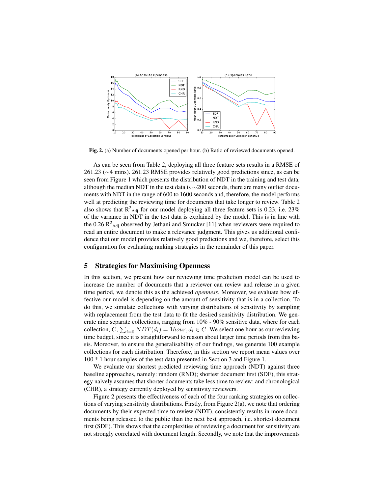

Fig. 2. (a) Number of documents opened per hour. (b) Ratio of reviewed documents opened.

As can be seen from Table 2, deploying all three feature sets results in a RMSE of 261.23 (∼4 mins). 261.23 RMSE provides relatively good predictions since, as can be seen from Figure 1 which presents the distribution of NDT in the training and test data, although the median NDT in the test data is ∼200 seconds, there are many outlier documents with NDT in the range of 600 to 1600 seconds and, therefore, the model performs well at predicting the reviewing time for documents that take longer to review. Table 2 also shows that  $R^2$ <sub>Adj</sub> for our model deploying all three feature sets is 0.23, i.e. 23% of the variance in NDT in the test data is explained by the model. This is in line with the 0.26  $R^2$ <sub>Adj</sub> observed by Jethani and Smucker [11] when reviewers were required to read an entire document to make a relevance judgment. This gives us additional confidence that our model provides relatively good predictions and we, therefore, select this configuration for evaluating ranking strategies in the remainder of this paper.

#### 5 Strategies for Maximising Openness

In this section, we present how our reviewing time prediction model can be used to increase the number of documents that a reviewer can review and release in a given time period, we denote this as the achieved *openness*. Moreover, we evaluate how effective our model is depending on the amount of sensitivity that is in a collection. To do this, we simulate collections with varying distributions of sensitivity by sampling with replacement from the test data to fit the desired sensitivity distribution. We generate nine separate collections, ranging from 10% - 90% sensitive data, where for each collection,  $C$ ,  $\sum_{i=0} NDT(d_i) = 1 hour, d_i \in C$ . We select one hour as our reviewing time budget, since it is straightforward to reason about larger time periods from this basis. Moreover, to ensure the generalisability of our findings, we generate 100 example collections for each distribution. Therefore, in this section we report mean values over 100 \* 1 hour samples of the test data presented in Section 3 and Figure 1.

We evaluate our shortest predicted reviewing time approach (NDT) against three baseline approaches, namely: random (RND); shortest document first (SDF), this strategy naively assumes that shorter documents take less time to review; and chronological (CHR), a strategy currently deployed by sensitivity reviewers.

Figure 2 presents the effectiveness of each of the four ranking strategies on collections of varying sensitivity distributions. Firstly, from Figure 2(a), we note that ordering documents by their expected time to review (NDT), consistently results in more documents being released to the public than the next best approach, i.e. shortest document first (SDF). This shows that the complexities of reviewing a document for sensitivity are not strongly correlated with document length. Secondly, we note that the improvements